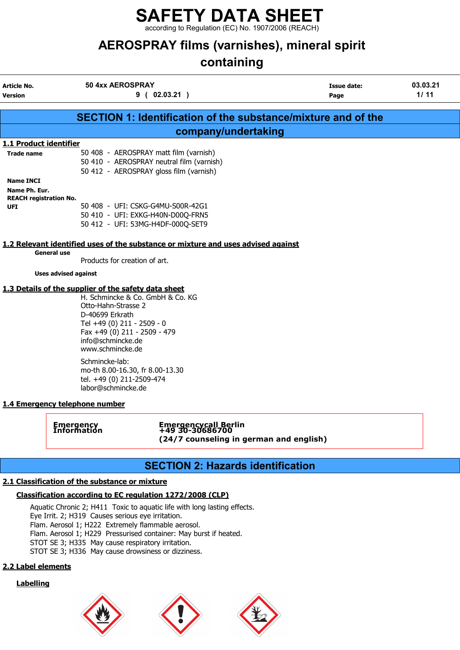according to Regulation (EC) No. 1907/2006 (REACH)

# AEROSPRAY films (varnishes), mineral spirit

# containing

| Article No.<br><b>Version</b>                                      | 50 4xx AEROSPRAY                                                                                                                                                                                                                                     | 9(02.03.21)                                                                                                                                   | Issue date:<br>Page                                                  | 03.03.21<br>1/11 |
|--------------------------------------------------------------------|------------------------------------------------------------------------------------------------------------------------------------------------------------------------------------------------------------------------------------------------------|-----------------------------------------------------------------------------------------------------------------------------------------------|----------------------------------------------------------------------|------------------|
|                                                                    |                                                                                                                                                                                                                                                      |                                                                                                                                               | <b>SECTION 1: Identification of the substance/mixture and of the</b> |                  |
|                                                                    |                                                                                                                                                                                                                                                      | company/undertaking                                                                                                                           |                                                                      |                  |
| 1.1 Product identifier                                             |                                                                                                                                                                                                                                                      |                                                                                                                                               |                                                                      |                  |
| <b>Trade name</b>                                                  |                                                                                                                                                                                                                                                      | 50 408 - AEROSPRAY matt film (varnish)<br>50 410 - AEROSPRAY neutral film (varnish)<br>50 412 - AEROSPRAY gloss film (varnish)                |                                                                      |                  |
| <b>Name INCI</b><br>Name Ph. Eur.<br><b>REACH registration No.</b> |                                                                                                                                                                                                                                                      |                                                                                                                                               |                                                                      |                  |
| UFI                                                                |                                                                                                                                                                                                                                                      | 50 408 - UFI: CSKG-G4MU-S00R-42G1<br>50 410 - UFI: EXKG-H40N-D00Q-FRN5<br>50 412 - UFI: 53MG-H4DF-000Q-SET9                                   |                                                                      |                  |
|                                                                    |                                                                                                                                                                                                                                                      | 1.2 Relevant identified uses of the substance or mixture and uses advised against                                                             |                                                                      |                  |
|                                                                    | <b>General use</b><br>Products for creation of art.                                                                                                                                                                                                  |                                                                                                                                               |                                                                      |                  |
|                                                                    | <b>Uses advised against</b>                                                                                                                                                                                                                          |                                                                                                                                               |                                                                      |                  |
|                                                                    | Otto-Hahn-Strasse 2<br>D-40699 Erkrath<br>Tel +49 (0) 211 - 2509 - 0<br>Fax +49 (0) 211 - 2509 - 479<br>info@schmincke.de<br>www.schmincke.de<br>Schmincke-lab:<br>tel. +49 (0) 211-2509-474<br>labor@schmincke.de<br>1.4 Emergency telephone number | H. Schmincke & Co. GmbH & Co. KG<br>mo-th 8.00-16.30, fr 8.00-13.30                                                                           |                                                                      |                  |
|                                                                    | <b>Emergency</b><br>Information                                                                                                                                                                                                                      | Emergencycall Berlin<br>+49 30-30686700                                                                                                       | (24/7 counseling in german and english)                              |                  |
|                                                                    |                                                                                                                                                                                                                                                      | <b>SECTION 2: Hazards identification</b>                                                                                                      |                                                                      |                  |
|                                                                    | 2.1 Classification of the substance or mixture                                                                                                                                                                                                       |                                                                                                                                               |                                                                      |                  |
|                                                                    |                                                                                                                                                                                                                                                      | Classification according to EC regulation 1272/2008 (CLP)                                                                                     |                                                                      |                  |
|                                                                    | Eye Irrit. 2; H319 Causes serious eye irritation.<br>Flam. Aerosol 1; H222 Extremely flammable aerosol.<br>STOT SE 3; H335 May cause respiratory irritation.<br>STOT SE 3; H336 May cause drowsiness or dizziness.                                   | Aquatic Chronic 2; H411 Toxic to aquatic life with long lasting effects.<br>Flam. Aerosol 1; H229 Pressurised container: May burst if heated. |                                                                      |                  |
| 2.2 Label elements                                                 |                                                                                                                                                                                                                                                      |                                                                                                                                               |                                                                      |                  |
| <b>Labelling</b>                                                   |                                                                                                                                                                                                                                                      |                                                                                                                                               |                                                                      |                  |





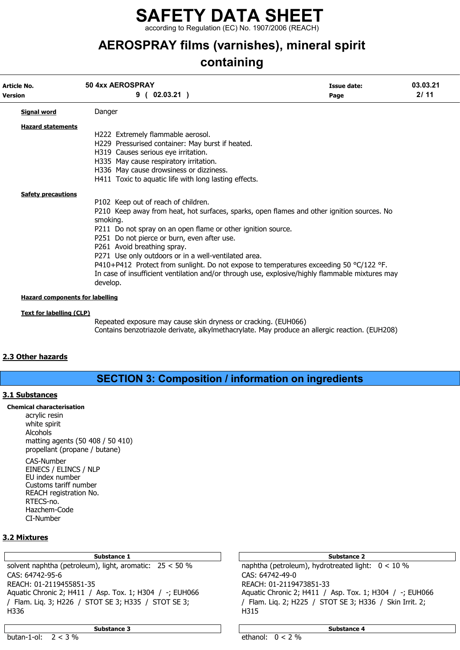according to Regulation (EC) No. 1907/2006 (REACH)

# AEROSPRAY films (varnishes), mineral spirit

## containing

| Article No.<br><b>Version</b>          | 50 4xx AEROSPRAY<br>9(02.03.21)                                                                                                                                                                                                                                                                                                                                                                                                                                                                                                                                        | Issue date:<br>Page | 03.03.21<br>2/11 |  |
|----------------------------------------|------------------------------------------------------------------------------------------------------------------------------------------------------------------------------------------------------------------------------------------------------------------------------------------------------------------------------------------------------------------------------------------------------------------------------------------------------------------------------------------------------------------------------------------------------------------------|---------------------|------------------|--|
| <b>Signal word</b>                     | Danger                                                                                                                                                                                                                                                                                                                                                                                                                                                                                                                                                                 |                     |                  |  |
| <b>Hazard statements</b>               | H222 Extremely flammable aerosol.<br>H229 Pressurised container: May burst if heated.<br>H319 Causes serious eye irritation.<br>H335 May cause respiratory irritation.<br>H336 May cause drowsiness or dizziness.<br>H411 Toxic to aquatic life with long lasting effects.                                                                                                                                                                                                                                                                                             |                     |                  |  |
| <b>Safety precautions</b>              | P102 Keep out of reach of children.<br>P210 Keep away from heat, hot surfaces, sparks, open flames and other ignition sources. No<br>smoking.<br>P211 Do not spray on an open flame or other ignition source.<br>P251 Do not pierce or burn, even after use.<br>P261 Avoid breathing spray.<br>P271 Use only outdoors or in a well-ventilated area.<br>P410+P412 Protect from sunlight. Do not expose to temperatures exceeding 50 $^{\circ}$ C/122 °F.<br>In case of insufficient ventilation and/or through use, explosive/highly flammable mixtures may<br>develop. |                     |                  |  |
| <b>Hazard components for labelling</b> |                                                                                                                                                                                                                                                                                                                                                                                                                                                                                                                                                                        |                     |                  |  |

#### Text for labelling (CLP)

Repeated exposure may cause skin dryness or cracking. (EUH066) Contains benzotriazole derivate, alkylmethacrylate. May produce an allergic reaction. (EUH208)

### 2.3 Other hazards

### SECTION 3: Composition / information on ingredients

### 3.1 Substances

Chemical characterisation

acrylic resin white spirit Alcohols matting agents (50 408 / 50 410) propellant (propane / butane)

CAS-Number EINECS / ELINCS / NLP EU index number Customs tariff number REACH registration No. RTECS-no. Hazchem-Code CI-Number

### 3.2 Mixtures

solvent naphtha (petroleum), light, aromatic: 25 < 50 % naphtha (petroleum), hydrotreated light: 0 < 10 % CAS: 64742-95-6 CAS: 64742-49-0 REACH: 01-2119455851-35 REACH: 01-2119473851-33 Aquatic Chronic 2; H411 / Asp. Tox. 1; H304 / -; EUH066 Aquatic Chronic 2; H411 / Asp. Tox. 1; H304 / -; EUH066 / Flam. Liq. 3; H226 / STOT SE 3; H335 / STOT SE 3; / Flam. Liq. 2; H225 / STOT SE 3; H336 / Skin Irrit. 2; H336 H315

Substance 3 Substance 4 Substance 4 Substance 4 Substance 4 Substance 4 Substance 4 Substance 4 Substance 4 Su

Substance 1 and 1 Substance 2 and 1 Substance 2 and 1 Substance 2 and 2 Substance 2 and 2 Substance 2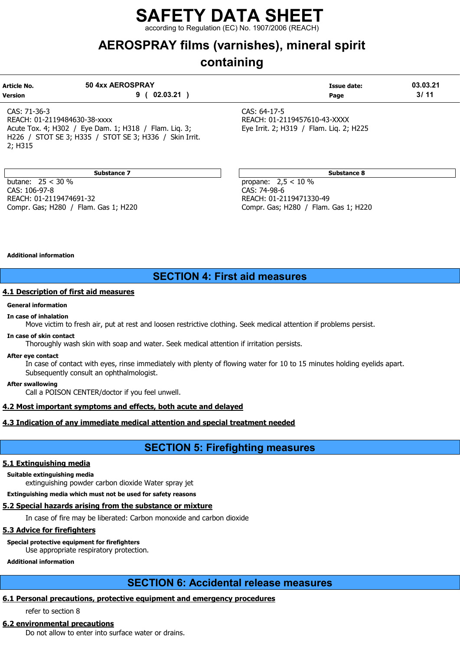ing to Regulation (EC) No. 1907/2006 (REACH)

# AEROSPRAY films (varnishes), mineral spirit

## containing

| Article No.<br><b>Version</b>                            | 50 4xx AEROSPRAY<br>02.03.21 | Issue date:<br>Page                     | 03.03.21<br>3/11 |
|----------------------------------------------------------|------------------------------|-----------------------------------------|------------------|
| CAS: 71-36-3                                             |                              | CAS: 64-17-5                            |                  |
| REACH: 01-2119484630-38-xxxx                             |                              | REACH: 01-2119457610-43-XXXX            |                  |
| Acute Tox. 4; H302 / Eye Dam. 1; H318 /<br>Flam. Lig. 3: |                              | Eye Irrit. 2; H319 / Flam. Lig. 2; H225 |                  |

Substance 7 Substance 8 Substance 8 Substance 8 Substance 8 Substance 8 Substance 8 Substance 8 Substance 8 Su

H226 / STOT SE 3; H335 / STOT SE 3; H336 / Skin Irrit.

butane: 25 < 30 % propane: 2,5 < 10 % CAS: 106-97-8 CAS: 74-98-6 REACH: 01-2119474691-32 REACH: 01-2119471330-49 Compr. Gas; H280 / Flam. Gas 1; H220 Compr. Gas; H280 / Flam. Gas 1; H220

#### Additional information

2; H315

### SECTION 4: First aid measures

### 4.1 Description of first aid measures

#### General information

#### In case of inhalation

Move victim to fresh air, put at rest and loosen restrictive clothing. Seek medical attention if problems persist.

#### In case of skin contact

Thoroughly wash skin with soap and water. Seek medical attention if irritation persists.

#### After eye contact

In case of contact with eyes, rinse immediately with plenty of flowing water for 10 to 15 minutes holding eyelids apart. Subsequently consult an ophthalmologist.

After swallowing

Call a POISON CENTER/doctor if you feel unwell.

### 4.2 Most important symptoms and effects, both acute and delayed

### 4.3 Indication of any immediate medical attention and special treatment needed

### SECTION 5: Firefighting measures

### 5.1 Extinguishing media

#### Suitable extinguishing media

extinguishing powder carbon dioxide Water spray jet

Extinguishing media which must not be used for safety reasons

#### 5.2 Special hazards arising from the substance or mixture

In case of fire may be liberated: Carbon monoxide and carbon dioxide

### 5.3 Advice for firefighters

Special protective equipment for firefighters

Use appropriate respiratory protection.

Additional information

### SECTION 6: Accidental release measures

### 6.1 Personal precautions, protective equipment and emergency procedures

refer to section 8

### 6.2 environmental precautions

Do not allow to enter into surface water or drains.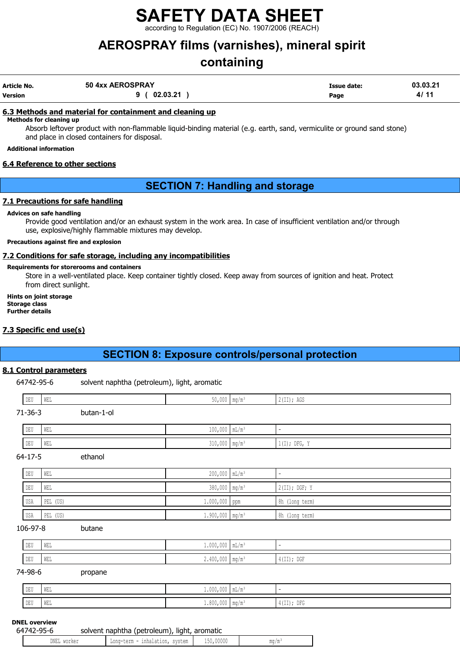according to Regulation (EC) No. 1907/2006 (REACH)

# AEROSPRAY films (varnishes), mineral spirit

## containing

| Article No. | 50 4xx AEROSPRAY | Issue date: | 03.03.21 |
|-------------|------------------|-------------|----------|
| Version     | 9 ( 02.03.21     | Page        | 4/11     |

### 6.3 Methods and material for containment and cleaning up

Methods for cleaning up

Absorb leftover product with non-flammable liquid-binding material (e.g. earth, sand, vermiculite or ground sand stone) and place in closed containers for disposal.

### Additional information

### 6.4 Reference to other sections

### SECTION 7: Handling and storage

### 7.1 Precautions for safe handling

#### Advices on safe handling

Provide good ventilation and/or an exhaust system in the work area. In case of insufficient ventilation and/or through use, explosive/highly flammable mixtures may develop.

### Precautions against fire and explosion

### 7.2 Conditions for safe storage, including any incompatibilities

### Requirements for storerooms and containers

Store in a well-ventilated place. Keep container tightly closed. Keep away from sources of ignition and heat. Protect from direct sunlight.

Hints on joint storage Storage class Further details

### 7.3 Specific end use(s)

### SECTION 8: Exposure controls/personal protection

### 8.1 Control parameters

6 solvent naphtha (petroleum), light, aromatic

| ╜<br>$\sim$ | i tarr<br>WELL | - - | $-$ | $\sim$ 0.0<br>$1 + 1$<br>. .<br>, yas<br>$\sim$ ( $\pm$ $\pm$ ) $\prime$ |
|-------------|----------------|-----|-----|--------------------------------------------------------------------------|
|             |                |     |     |                                                                          |

71-36-3 butan-1-ol

| DEU | WEL | 100<br>$\sim$ $\sim$<br><b>IUU, UUU</b> |                                                           |
|-----|-----|-----------------------------------------|-----------------------------------------------------------|
| DEU | WEL | $310,000$ mg/m <sup>3</sup>             | DEC.<br>$4 + -1$<br>$\cdot$ .<br>  1 (1) <i>  DE</i> G, 1 |

#### 64-17-5 ethanol

| DEU     | WEL      | $200,000$ $mL/m^3$            |                 |
|---------|----------|-------------------------------|-----------------|
| DEU WEL |          | $380,000$ mg/m <sup>3</sup>   | $2(II);$ DGF; Y |
| USA     | PEL (US) | $1.000,000$ ppm               | 8h (long term)  |
| USA     | PEL (US) | $1.900,000$ mg/m <sup>3</sup> | 8h (long term)  |

#### 106-97-8 butane

| DEU             | WEL         | 1.000,000                                  | $111 \pm 711$ |                                               |
|-----------------|-------------|--------------------------------------------|---------------|-----------------------------------------------|
| וזיות ו<br>∣⊔⊔∪ | ME I<br>WĿL | $\Lambda$ $\Lambda$<br>$L$ , $TVV$ , $VVV$ | - 1114 / 111  | DOD <sup>1</sup><br>$\sim$ $-$<br>4 (11); DGI |

#### 74-98-6 propane

| <b>DRII</b><br>∪ ⊔ש | 200000     | .<br>$\sim$ $\sim$ $\sim$<br>1,000,000                        | $\ln L/m$                         |               |
|---------------------|------------|---------------------------------------------------------------|-----------------------------------|---------------|
| DEU                 | $-$<br>ستد | 0 <sub>n</sub><br>$\sim$ $\sim$<br>זוזו<br>$\perp$ , 000, 000 | $m \sim l m$<br>$\mathbb{I}$ mg/m | $4(III);$ DFG |

### DNEL overview

| 64742-95-6 |             | solvent naphtha (petroleum), light, aromatic |           |      |
|------------|-------------|----------------------------------------------|-----------|------|
|            | DNEL worker | Long-term - inhalation, system               | 150,00000 | mq/m |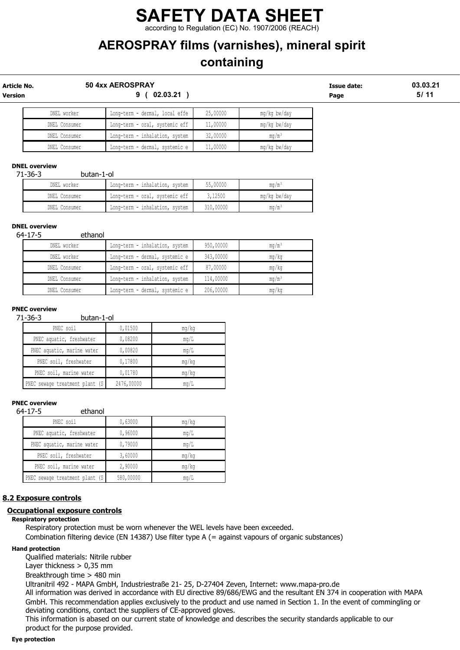### SAFETY DATA SHEET according to Regulation (EC) No. 1907/2006 (REACH)

# AEROSPRAY films (varnishes), mineral spirit

## containing

| Article No.<br>Version |               | 50 4xx AEROSPRAY<br>02.03.21<br>9 |          |                   |  | 03.03.21<br>5/11 |
|------------------------|---------------|-----------------------------------|----------|-------------------|--|------------------|
|                        | DNEL worker   | Long-term - dermal, local effe    | 25,00000 | mg/kg bw/day      |  |                  |
|                        | DNEL Consumer | Long-term - oral, systemic eff    | 11,00000 | mg/kg bw/day      |  |                  |
|                        | DNEL Consumer | Long-term - inhalation, system    | 32,00000 | ma/m <sup>3</sup> |  |                  |
|                        | DNEL Consumer | Long-term - dermal, systemic e    | 11,00000 | mq/kq bw/day      |  |                  |

### DNEL overview

71-36-3 butan-1-ol

| DNEL worker   | Long-term - inhalation, system | 55,00000  | mq/m <sup>3</sup> |
|---------------|--------------------------------|-----------|-------------------|
| DNEL Consumer | Long-term - oral, systemic eff | 3,12500   | mg/kg bw/day      |
| DNEL Consumer | Long-term - inhalation, system | 310,00000 | $\text{ma/m}^3$   |

#### DNEL overview

64-17-5 ethanol

| DNEL worker   | Long-term - inhalation, system | 950,00000 | $mq/m^3$ |
|---------------|--------------------------------|-----------|----------|
| DNEL worker   | Long-term - dermal, systemic e | 343,00000 | mg/kg    |
| DNEL Consumer | Long-term - oral, systemic eff | 87,00000  | mg/kg    |
| DNEL Consumer | Long-term - inhalation, system | 114,00000 | $mq/m^3$ |
| DNEL Consumer | Long-term - dermal, systemic e | 206,00000 | mq/kg    |

#### PNEC overview

71-36-3 butan-1-ol

| PNEC soil                       | 0,01500    | mg/kg |
|---------------------------------|------------|-------|
| PNEC aquatic, freshwater        | 0,08200    | mq/L  |
| PNEC aquatic, marine water      | 0,00820    | mq/L  |
| PNEC soil, freshwater           | 0,17800    | mq/kg |
| PNEC soil, marine water         | 0,01780    | mq/kg |
| PNEC sewage treatment plant (S) | 2476,00000 | mq/L  |

### PNEC overview

64-17-5 ethanol

| PNEC soil                       | 0,63000   | mg/kg |
|---------------------------------|-----------|-------|
| PNEC aquatic, freshwater        | 0,96000   | mq/L  |
| PNEC aquatic, marine water      | 0,79000   | mq/L  |
| PNEC soil, freshwater           | 3,60000   | mq/kg |
| PNEC soil, marine water         | 2,90000   | mq/kg |
| PNEC sewage treatment plant (S) | 580,00000 | mq/L  |

### 8.2 Exposure controls

### Occupational exposure controls

#### Respiratory protection

Respiratory protection must be worn whenever the WEL levels have been exceeded. Combination filtering device (EN 14387) Use filter type A (= against vapours of organic substances)

#### Hand protection

Qualified materials: Nitrile rubber

Layer thickness > 0,35 mm

Breakthrough time > 480 min

Ultranitril 492 - MAPA GmbH, Industriestraße 21- 25, D-27404 Zeven, Internet: www.mapa-pro.de All information was derived in accordance with EU directive 89/686/EWG and the resultant EN 374 in cooperation with MAPA GmbH. This recommendation applies exclusively to the product and use named in Section 1. In the event of commingling or deviating conditions, contact the suppliers of CE-approved gloves.

This information is abased on our current state of knowledge and describes the security standards applicable to our product for the purpose provided.

#### Eye protection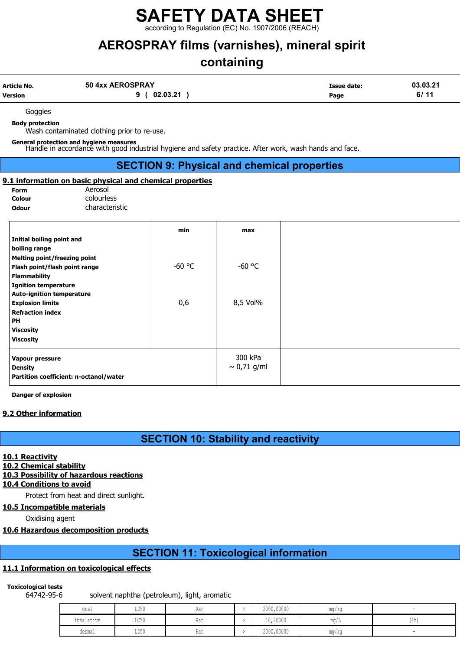ording to Regulation (EC) No. 1907/2006 (REACH)

## AEROSPRAY films (varnishes), mineral spirit

# containing

| Article No. | 50 4xx AEROSPRAY | Issue date: | 03.03.21 |
|-------------|------------------|-------------|----------|
| Version     | 02.03.21         | Page        | 6/11     |

Goggles

Body protection

Wash contaminated clothing prior to re-use.

General protection and hygiene measures Handle in accordance with good industrial hygiene and safety practice. After work, wash hands and face.

### SECTION 9: Physical and chemical properties

#### 9.1 information on basic physical and chemical properties Aerosol

| Form   |  |
|--------|--|
| Colour |  |
| Odour  |  |

colourless characteristic

|                                        | min      | max              |
|----------------------------------------|----------|------------------|
| Initial boiling point and              |          |                  |
| boiling range                          |          |                  |
| <b>Melting point/freezing point</b>    |          |                  |
| Flash point/flash point range          | $-60$ °C | $-60$ °C         |
| <b>Flammability</b>                    |          |                  |
| <b>Ignition temperature</b>            |          |                  |
| <b>Auto-ignition temperature</b>       |          |                  |
| <b>Explosion limits</b>                | 0,6      | 8,5 Vol%         |
| <b>Refraction index</b>                |          |                  |
| <b>PH</b>                              |          |                  |
| <b>Viscosity</b>                       |          |                  |
| <b>Viscosity</b>                       |          |                  |
| Vapour pressure                        |          | 300 kPa          |
| <b>Density</b>                         |          | $\sim 0.71$ g/ml |
| Partition coefficient: n-octanol/water |          |                  |
|                                        |          |                  |

Danger of explosion

### 9.2 Other information

### SECTION 10: Stability and reactivity

#### 10.1 Reactivity

### 10.2 Chemical stability

### 10.3 Possibility of hazardous reactions

10.4 Conditions to avoid

Protect from heat and direct sunlight.

### 10.5 Incompatible materials

Oxidising agent

### 10.6 Hazardous decomposition products

### SECTION 11: Toxicological information

### 11.1 Information on toxicological effects

### Toxicological tests

64742-95-6 solvent naphtha (petroleum), light, aromatic

| oral                                     | <b>TDEO</b><br><b>TID JA</b> | 1100  | 2000,00000                   | mg/kg                 |             |
|------------------------------------------|------------------------------|-------|------------------------------|-----------------------|-------------|
| the control of the control<br>inhalative | $T \cap E \cap$<br>コレコロ      | 114 L | 10,20000                     | $\text{max}/\text{I}$ | 11<br>(411) |
| dermal                                   | ${\tt LD50}$                 | 1100  | 2000,00000<br>$\blacksquare$ | mg/kg                 |             |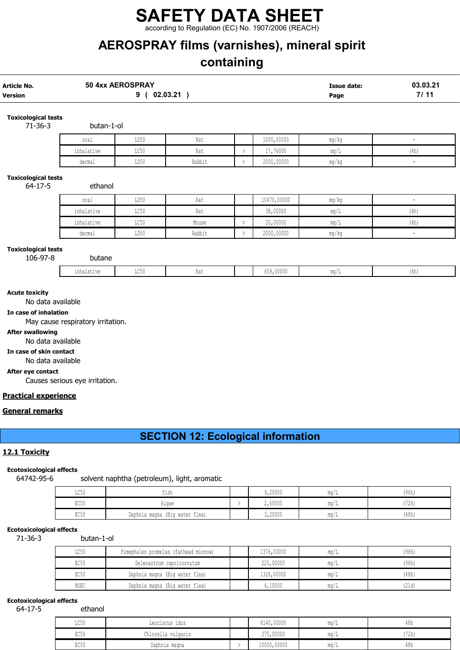according to Regulation (EC) No. 1907/2006 (REACH)

# AEROSPRAY films (varnishes), mineral spirit

# containing

| Article No.<br>Version                                                                                                                                                                              |                                                                     | 50 4xx AEROSPRAY<br>9(02.03.21) |                                              |               |             | <b>Issue date:</b><br>Page | 03.03.21<br>7/11 |
|-----------------------------------------------------------------------------------------------------------------------------------------------------------------------------------------------------|---------------------------------------------------------------------|---------------------------------|----------------------------------------------|---------------|-------------|----------------------------|------------------|
| <b>Toxicological tests</b><br>$71 - 36 - 3$                                                                                                                                                         | butan-1-ol                                                          |                                 |                                              |               |             |                            |                  |
|                                                                                                                                                                                                     | oral                                                                | LD50                            | Rat                                          |               | 1000,00000  | $mg/kg$                    | $\sim$           |
|                                                                                                                                                                                                     | inhalative                                                          | LC50                            | Rat                                          | $\,>\,$       | 17,76000    | mg/L                       | (4h)             |
|                                                                                                                                                                                                     | dermal                                                              | LD50                            | Rabbit                                       | $\rightarrow$ | 2000,00000  | mg/kg                      | $\blacksquare$   |
| <b>Toxicological tests</b><br>$64 - 17 - 5$                                                                                                                                                         | ethanol                                                             |                                 |                                              |               |             |                            |                  |
|                                                                                                                                                                                                     | oral                                                                | LD50                            | Rat                                          |               | 10470,00000 | mg/kg                      | $\blacksquare$   |
|                                                                                                                                                                                                     | inhalative                                                          | LC50                            | Rat                                          |               | 38,00000    | mg/L                       | (4h)             |
|                                                                                                                                                                                                     | inhalative                                                          | LC50                            | Mouse                                        | $\rightarrow$ | 20,00000    | mg/L                       | (4h)             |
|                                                                                                                                                                                                     | dermal                                                              | LD50                            | Rabbit                                       | $\,>\,$       | 2000,00000  | mg/kg                      | $\blacksquare$   |
| <b>Toxicological tests</b><br>106-97-8                                                                                                                                                              | butane                                                              |                                 |                                              |               |             |                            |                  |
|                                                                                                                                                                                                     | inhalative                                                          | LC50                            | Rat                                          |               | 658,00000   | mg/L                       | (4h)             |
| In case of inhalation<br><b>After swallowing</b><br>No data available<br>In case of skin contact<br>No data available<br>After eye contact<br><b>Practical experience</b><br><u>General remarks</u> | May cause respiratory irritation.<br>Causes serious eye irritation. |                                 |                                              |               |             |                            |                  |
|                                                                                                                                                                                                     |                                                                     |                                 | <b>SECTION 12: Ecological information</b>    |               |             |                            |                  |
| 12.1 Toxicity                                                                                                                                                                                       |                                                                     |                                 |                                              |               |             |                            |                  |
| <b>Ecotoxicological effects</b><br>64742-95-6                                                                                                                                                       |                                                                     |                                 | solvent naphtha (petroleum), light, aromatic |               |             |                            |                  |
|                                                                                                                                                                                                     | LC50                                                                | fish                            |                                              |               | 9,20000     | mg/L                       | (96h)            |
|                                                                                                                                                                                                     | EC50                                                                | Algae                           |                                              | $\rightarrow$ | 2,60000     | $\rm mg/L$                 | (72h)            |
|                                                                                                                                                                                                     | EC50                                                                | Daphnia magna (Big water flea)  |                                              |               | 3,20000     | mg/L                       | (48h)            |

### Ecotoxicological effects

71-36-3 butan-1-ol

| LC50 | Pimephales promelas (fathead minnow) | 1376,00000 | ma/L                  | (96h) |
|------|--------------------------------------|------------|-----------------------|-------|
| EC50 | Selenastrum capricornutum            | 225,00000  | ma/L                  | (96h) |
| EC50 | Daphnia magna (Big water flea)       | 1328,00000 | ma/L                  | (48h) |
| NOEC | Daphnia magna (Big water flea)       | 4,10000    | $\text{max}/\text{L}$ | (21d) |

### Ecotoxicological effects

64-17-5 ethanol

| LC50 | Leuciscus idus     | 8140,00000  | mq/L        | 48h  |
|------|--------------------|-------------|-------------|------|
| EC50 | Chlorella vulgaris | 275,00000   | mq/L        | '72h |
| EC50 | Daphnia magna      | 10000,00000 | $m\alpha/L$ | 48h  |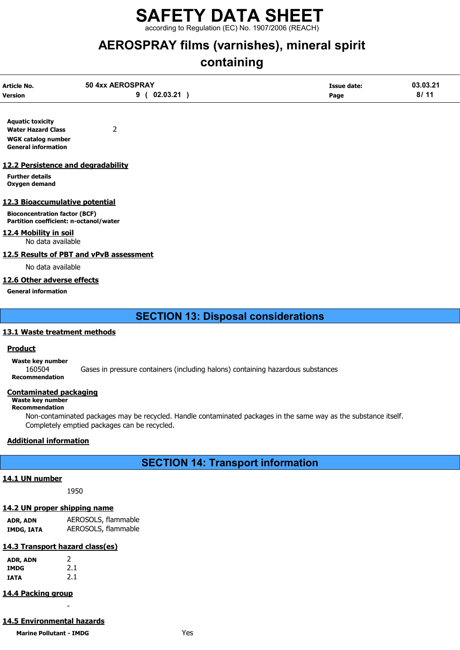according to Regulation (EC) No. 1907/2006 (REACH)

## AEROSPRAY films (varnishes), mineral spirit

# containing

| Article No.<br><b>Version</b> | 50 4xx AEROSPRAY<br>02.03.21<br>a | <b>Issue date:</b><br>Page | 03.03.21<br>8/11 |
|-------------------------------|-----------------------------------|----------------------------|------------------|
|                               |                                   |                            |                  |

Aquatic toxicity Water Hazard Class 2 WGK catalog number General information

### 12.2 Persistence and degradability

Further details Oxygen demand

### 12.3 Bioaccumulative potential

Bioconcentration factor (BCF) Partition coefficient: n-octanol/water

### 12.4 Mobility in soil

No data available

### 12.5 Results of PBT and vPvB assessment

No data available

### 12.6 Other adverse effects

General information

SECTION 13: Disposal considerations

### 13.1 Waste treatment methods

### Product

Waste key number<br>160504

Gases in pressure containers (including halons) containing hazardous substances Recommendation

### Contaminated packaging

#### Waste key number Recommendation

Non-contaminated packages may be recycled. Handle contaminated packages in the same way as the substance itself. Completely emptied packages can be recycled.

### Additional information

### SECTION 14: Transport information

### 14.1 UN number

1950

### 14.2 UN proper shipping name

ADR, ADN AEROSOLS, flammable IMDG, IATA AEROSOLS, flammable

### 14.3 Transport hazard class(es)

| ADR, ADN | 2   |
|----------|-----|
| IMDG     | 2.1 |
| IATA     | 2.1 |

### 14.4 Packing group

### 14.5 Environmental hazards

-

Marine Pollutant - IMDG **Yes**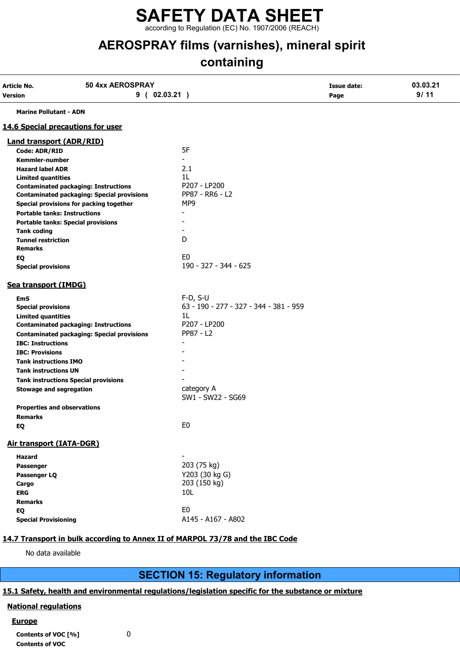according to Regulation (EC) No. 1907/2006 (REACH)

# AEROSPRAY films (varnishes), mineral spirit

## containing

| Article No.                         | 50 4xx AEROSPRAY                                  |                                        | <b>Issue date:</b> | 03.03.21 |
|-------------------------------------|---------------------------------------------------|----------------------------------------|--------------------|----------|
| Version                             | 9(02.03.21)                                       |                                        | Page               | 9/11     |
| <b>Marine Pollutant - ADN</b>       |                                                   |                                        |                    |          |
|                                     | <b>14.6 Special precautions for user</b>          |                                        |                    |          |
| <b>Land transport (ADR/RID)</b>     |                                                   |                                        |                    |          |
| Code: ADR/RID                       |                                                   | 5F                                     |                    |          |
| <b>Kemmler-number</b>               |                                                   | $\blacksquare$                         |                    |          |
| <b>Hazard label ADR</b>             |                                                   | 2.1                                    |                    |          |
| <b>Limited quantities</b>           |                                                   | 1L                                     |                    |          |
|                                     | <b>Contaminated packaging: Instructions</b>       | P207 - LP200                           |                    |          |
|                                     | <b>Contaminated packaging: Special provisions</b> | PP87 - RR6 - L2                        |                    |          |
|                                     | Special provisions for packing together           | MP9                                    |                    |          |
| <b>Portable tanks: Instructions</b> |                                                   |                                        |                    |          |
|                                     | <b>Portable tanks: Special provisions</b>         |                                        |                    |          |
| <b>Tank coding</b>                  |                                                   |                                        |                    |          |
| <b>Tunnel restriction</b>           |                                                   | D                                      |                    |          |
| <b>Remarks</b>                      |                                                   |                                        |                    |          |
| EQ                                  |                                                   | E <sub>0</sub>                         |                    |          |
| <b>Special provisions</b>           |                                                   | 190 - 327 - 344 - 625                  |                    |          |
| Sea transport (IMDG)                |                                                   |                                        |                    |          |
| <b>EmS</b>                          |                                                   | $F-D, S-U$                             |                    |          |
| <b>Special provisions</b>           |                                                   | 63 - 190 - 277 - 327 - 344 - 381 - 959 |                    |          |
| <b>Limited quantities</b>           |                                                   | 1L                                     |                    |          |
|                                     | <b>Contaminated packaging: Instructions</b>       | P207 - LP200                           |                    |          |
|                                     | <b>Contaminated packaging: Special provisions</b> | PP87 - L2                              |                    |          |
| <b>IBC: Instructions</b>            |                                                   |                                        |                    |          |
| <b>IBC: Provisions</b>              |                                                   |                                        |                    |          |
| <b>Tank instructions IMO</b>        |                                                   |                                        |                    |          |
| <b>Tank instructions UN</b>         |                                                   |                                        |                    |          |
|                                     | <b>Tank instructions Special provisions</b>       |                                        |                    |          |
| <b>Stowage and segregation</b>      |                                                   | category A                             |                    |          |
|                                     |                                                   | SW1 - SW22 - SG69                      |                    |          |
| <b>Properties and observations</b>  |                                                   |                                        |                    |          |
| <b>Remarks</b>                      |                                                   |                                        |                    |          |
| EQ                                  |                                                   | E <sub>0</sub>                         |                    |          |
| <b>Air transport (IATA-DGR)</b>     |                                                   |                                        |                    |          |
| <b>Hazard</b>                       |                                                   |                                        |                    |          |
| Passenger                           |                                                   | 203 (75 kg)                            |                    |          |
| Passenger LQ                        |                                                   | Y203 (30 kg G)                         |                    |          |
| Cargo                               |                                                   | 203 (150 kg)                           |                    |          |
| <b>ERG</b>                          |                                                   | 10L                                    |                    |          |
| <b>Remarks</b>                      |                                                   |                                        |                    |          |
| EQ                                  |                                                   | E <sub>0</sub>                         |                    |          |
| <b>Special Provisioning</b>         |                                                   | A145 - A167 - A802                     |                    |          |
|                                     |                                                   |                                        |                    |          |

### 14.7 Transport in bulk according to Annex II of MARPOL 73/78 and the IBC Code

No data available

### SECTION 15: Regulatory information

### 15.1 Safety, health and environmental regulations/legislation specific for the substance or mixture

### National regulations

### **Europe**

| Contents of VOC [%] |  |
|---------------------|--|
| Contents of VOC     |  |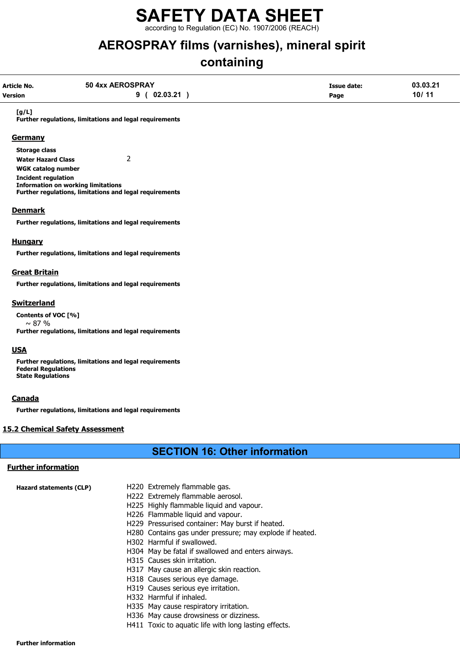according to Regulation (EC) No. 1907/2006 (REACH)

## AEROSPRAY films (varnishes), mineral spirit

# containing

| Article No.<br>Version | 50 4xx AEROSPRAY<br>$02.03.21$ )<br>9                   | Issue date:<br>Page | 03.03.21<br>10/11 |
|------------------------|---------------------------------------------------------|---------------------|-------------------|
| [g/L]                  | Further regulations, limitations and legal requirements |                     |                   |
| <b>Germany</b>         |                                                         |                     |                   |
| <b>Storage class</b>   |                                                         |                     |                   |

Water Hazard Class 2 WGK catalog number Incident regulation Information on working limitations Further regulations, limitations and legal requirements

### **Denmark**

Further regulations, limitations and legal requirements

### Hungary

Further regulations, limitations and legal requirements

### Great Britain

Further regulations, limitations and legal requirements

### Switzerland

Contents of VOC [%]  $\sim$  87 % Further regulations, limitations and legal requirements

### **USA**

Further regulations, limitations and legal requirements Federal Regulations State Regulations

### Canada

Further regulations, limitations and legal requirements

### 15.2 Chemical Safety Assessment

### SECTION 16: Other information

### Further information

| Hazard statements (CLP) | H220 Extremely flammable gas.                            |
|-------------------------|----------------------------------------------------------|
|                         | H222 Extremely flammable aerosol.                        |
|                         | H225 Highly flammable liquid and vapour.                 |
|                         | H226 Flammable liquid and vapour.                        |
|                         | H229 Pressurised container: May burst if heated.         |
|                         | H280 Contains gas under pressure; may explode if heated. |
|                         | H302 Harmful if swallowed.                               |

- H304 May be fatal if swallowed and enters airways.
- H315 Causes skin irritation.
- H317 May cause an allergic skin reaction.
- H318 Causes serious eye damage.
- H319 Causes serious eye irritation.
- H332 Harmful if inhaled.
- H335 May cause respiratory irritation.
- H336 May cause drowsiness or dizziness.
- H411 Toxic to aquatic life with long lasting effects.